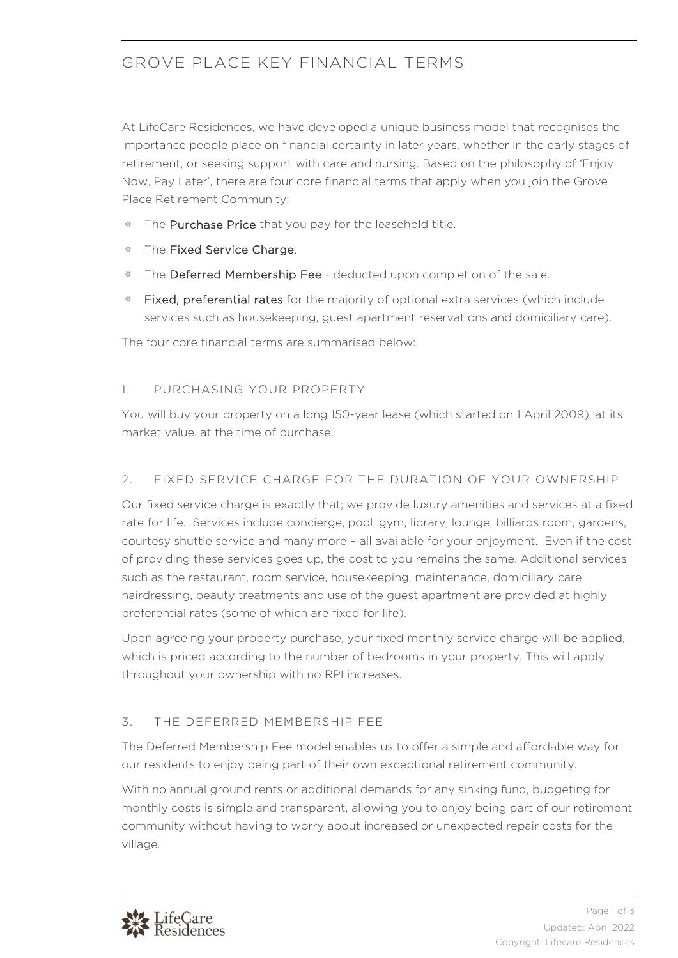# GROVE PLACE KEY FINANCIAL TERMS

At LifeCare Residences, we have developed a unique business model that recognises the importance people place on financial certainty in later years, whether in the early stages of retirement, or seeking support with care and nursing. Based on the philosophy of 'Enjoy Now, Pay Later', there are four core financial terms that apply when you join the Grove Place Retirement Community:

- 器 The Purchase Price that you pay for the leasehold title.
- The Fixed Service Charge.
- The Deferred Membership Fee deducted upon completion of the sale.
- Fixed, preferential rates for the majority of optional extra services (which include services such as housekeeping, guest apartment reservations and domiciliary care).

The four core financial terms are summarised below:

## 1. PURCHASING YOUR PROPERTY

You will buy your property on a long 150-year lease (which started on 1 April 2009), at its market value, at the time of purchase.

## 2. FIXED SERVICE CHARGE FOR THE DURATION OF YOUR OWNERSHIP

Our fixed service charge is exactly that; we provide luxury amenities and services at a fixed rate for life. Services include concierge, pool, gym, library, lounge, billiards room, gardens, courtesy shuttle service and many more – all available for your enjoyment. Even if the cost of providing these services goes up, the cost to you remains the same. Additional services such as the restaurant, room service, housekeeping, maintenance, domiciliary care, hairdressing, beauty treatments and use of the guest apartment are provided at highly preferential rates (some of which are fixed for life).

Upon agreeing your property purchase, your fixed monthly service charge will be applied, which is priced according to the number of bedrooms in your property. This will apply throughout your ownership with no RPI increases.

# 3. THE DEFERRED MEMBERSHIP FEE

The Deferred Membership Fee model enables us to offer a simple and affordable way for our residents to enjoy being part of their own exceptional retirement community.

With no annual ground rents or additional demands for any sinking fund, budgeting for monthly costs is simple and transparent, allowing you to enjoy being part of our retirement community without having to worry about increased or unexpected repair costs for the village.

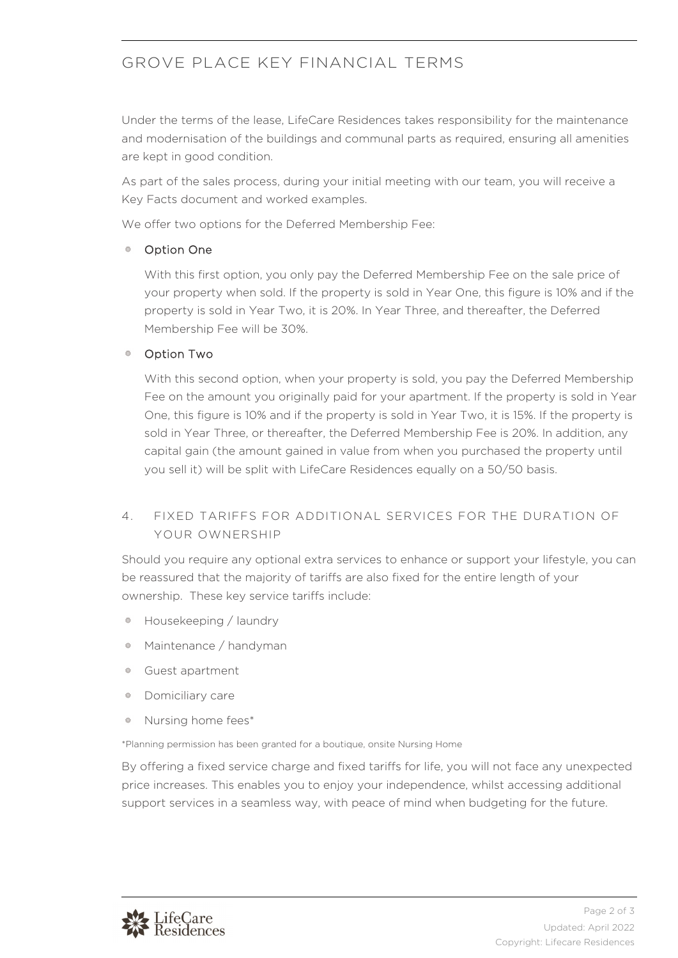# GROVE PLACE KEY FINANCIAL TERMS

Under the terms of the lease, LifeCare Residences takes responsibility for the maintenance and modernisation of the buildings and communal parts as required, ensuring all amenities are kept in good condition.

As part of the sales process, during your initial meeting with our team, you will receive a Key Facts document and worked examples.

We offer two options for the Deferred Membership Fee:

## Option One

With this first option, you only pay the Deferred Membership Fee on the sale price of your property when sold. If the property is sold in Year One, this figure is 10% and if the property is sold in Year Two, it is 20%. In Year Three, and thereafter, the Deferred Membership Fee will be 30%.

#### Option Two

With this second option, when your property is sold, you pay the Deferred Membership Fee on the amount you originally paid for your apartment. If the property is sold in Year One, this figure is 10% and if the property is sold in Year Two, it is 15%. If the property is sold in Year Three, or thereafter, the Deferred Membership Fee is 20%. In addition, any capital gain (the amount gained in value from when you purchased the property until you sell it) will be split with LifeCare Residences equally on a 50/50 basis.

## 4. FIXED TARIFFS FOR ADDITIONAL SERVICES FOR THE DURATION OF YOUR OWNERSHIP

Should you require any optional extra services to enhance or support your lifestyle, you can be reassured that the majority of tariffs are also fixed for the entire length of your ownership. These key service tariffs include:

- Housekeeping / laundry 淼
- 券 Maintenance / handyman
- Guest apartment
- Domiciliary care
- Nursing home fees\*

\*Planning permission has been granted for a boutique, onsite Nursing Home

By offering a fixed service charge and fixed tariffs for life, you will not face any unexpected price increases. This enables you to enjoy your independence, whilst accessing additional support services in a seamless way, with peace of mind when budgeting for the future.